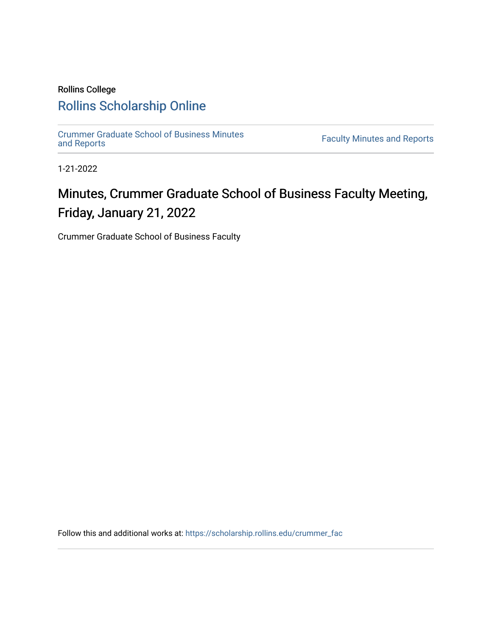## Rollins College [Rollins Scholarship Online](https://scholarship.rollins.edu/)

[Crummer Graduate School of Business Minutes](https://scholarship.rollins.edu/crummer_fac) 

**Faculty Minutes [and Reports](https://scholarship.rollins.edu/crummer_fac)** 

1-21-2022

## Minutes, Crummer Graduate School of Business Faculty Meeting, Friday, January 21, 2022

Crummer Graduate School of Business Faculty

Follow this and additional works at: [https://scholarship.rollins.edu/crummer\\_fac](https://scholarship.rollins.edu/crummer_fac?utm_source=scholarship.rollins.edu%2Fcrummer_fac%2F125&utm_medium=PDF&utm_campaign=PDFCoverPages)